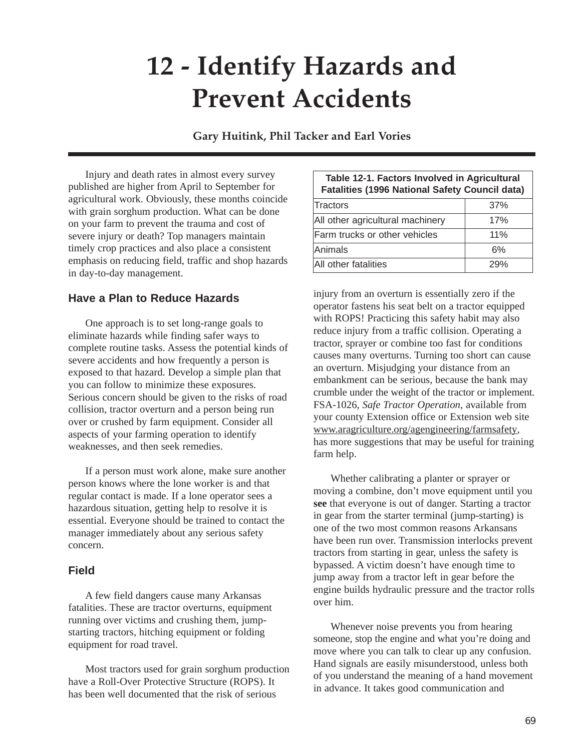# **12 - Identify Hazards and Prevent Accidents**

**Gary Huitink, Phil Tacker and Earl Vories** 

Injury and death rates in almost every survey published are higher from April to September for agricultural work. Obviously, these months coincide with grain sorghum production. What can be done on your farm to prevent the trauma and cost of severe injury or death? Top managers maintain timely crop practices and also place a consistent emphasis on reducing field, traffic and shop hazards in day-to-day management.

#### **Have a Plan to Reduce Hazards**

One approach is to set long-range goals to eliminate hazards while finding safer ways to complete routine tasks. Assess the potential kinds of severe accidents and how frequently a person is exposed to that hazard. Develop a simple plan that you can follow to minimize these exposures. Serious concern should be given to the risks of road collision, tractor overturn and a person being run over or crushed by farm equipment. Consider all aspects of your farming operation to identify weaknesses, and then seek remedies.

If a person must work alone, make sure another person knows where the lone worker is and that regular contact is made. If a lone operator sees a hazardous situation, getting help to resolve it is essential. Everyone should be trained to contact the manager immediately about any serious safety concern.

### **Field**

A few field dangers cause many Arkansas fatalities. These are tractor overturns, equipment running over victims and crushing them, jumpstarting tractors, hitching equipment or folding equipment for road travel.

Most tractors used for grain sorghum production have a Roll-Over Protective Structure (ROPS). It has been well documented that the risk of serious

| Table 12-1. Factors Involved in Agricultural<br><b>Fatalities (1996 National Safety Council data)</b> |     |
|-------------------------------------------------------------------------------------------------------|-----|
| Tractors                                                                                              | 37% |
| All other agricultural machinery                                                                      | 17% |
| Farm trucks or other vehicles                                                                         | 11% |
| Animals                                                                                               | 6%  |
| All other fatalities                                                                                  | 29% |

injury from an overturn is essentially zero if the operator fastens his seat belt on a tractor equipped with ROPS! Practicing this safety habit may also reduce injury from a traffic collision. Operating a tractor, sprayer or combine too fast for conditions causes many overturns. Turning too short can cause an overturn. Misjudging your distance from an embankment can be serious, because the bank may crumble under the weight of the tractor or implement. FSA-1026, *Safe Tractor Operation*, available from your county Extension office or Extension web site www.aragriculture.org/agengineering/farmsafety, has more suggestions that may be useful for training farm help.

Whether calibrating a planter or sprayer or moving a combine, don't move equipment until you **see** that everyone is out of danger. Starting a tractor in gear from the starter terminal (jump-starting) is one of the two most common reasons Arkansans have been run over. Transmission interlocks prevent tractors from starting in gear, unless the safety is bypassed. A victim doesn't have enough time to jump away from a tractor left in gear before the engine builds hydraulic pressure and the tractor rolls over him.

Whenever noise prevents you from hearing someone, stop the engine and what you're doing and move where you can talk to clear up any confusion. Hand signals are easily misunderstood, unless both of you understand the meaning of a hand movement in advance. It takes good communication and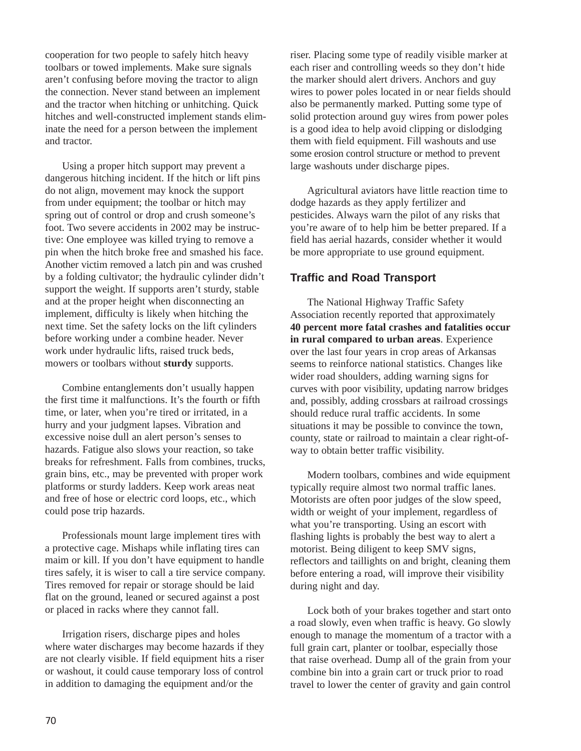cooperation for two people to safely hitch heavy toolbars or towed implements. Make sure signals aren't confusing before moving the tractor to align the connection. Never stand between an implement and the tractor when hitching or unhitching. Quick hitches and well-constructed implement stands eliminate the need for a person between the implement and tractor.

Using a proper hitch support may prevent a dangerous hitching incident. If the hitch or lift pins do not align, movement may knock the support from under equipment; the toolbar or hitch may spring out of control or drop and crush someone's foot. Two severe accidents in 2002 may be instructive: One employee was killed trying to remove a pin when the hitch broke free and smashed his face. Another victim removed a latch pin and was crushed by a folding cultivator; the hydraulic cylinder didn't support the weight. If supports aren't sturdy, stable and at the proper height when disconnecting an implement, difficulty is likely when hitching the next time. Set the safety locks on the lift cylinders before working under a combine header. Never work under hydraulic lifts, raised truck beds, mowers or toolbars without **sturdy** supports.

Combine entanglements don't usually happen the first time it malfunctions. It's the fourth or fifth time, or later, when you're tired or irritated, in a hurry and your judgment lapses. Vibration and excessive noise dull an alert person's senses to hazards. Fatigue also slows your reaction, so take breaks for refreshment. Falls from combines, trucks, grain bins, etc., may be prevented with proper work platforms or sturdy ladders. Keep work areas neat and free of hose or electric cord loops, etc., which could pose trip hazards.

Professionals mount large implement tires with a protective cage. Mishaps while inflating tires can maim or kill. If you don't have equipment to handle tires safely, it is wiser to call a tire service company. Tires removed for repair or storage should be laid flat on the ground, leaned or secured against a post or placed in racks where they cannot fall.

Irrigation risers, discharge pipes and holes where water discharges may become hazards if they are not clearly visible. If field equipment hits a riser or washout, it could cause temporary loss of control in addition to damaging the equipment and/or the

riser. Placing some type of readily visible marker at each riser and controlling weeds so they don't hide the marker should alert drivers. Anchors and guy wires to power poles located in or near fields should also be permanently marked. Putting some type of solid protection around guy wires from power poles is a good idea to help avoid clipping or dislodging them with field equipment. Fill washouts and use some erosion control structure or method to prevent large washouts under discharge pipes.

Agricultural aviators have little reaction time to dodge hazards as they apply fertilizer and pesticides. Always warn the pilot of any risks that you're aware of to help him be better prepared. If a field has aerial hazards, consider whether it would be more appropriate to use ground equipment.

## **Traffic and Road Transport**

The National Highway Traffic Safety Association recently reported that approximately **40 percent more fatal crashes and fatalities occur in rural compared to urban areas**. Experience over the last four years in crop areas of Arkansas seems to reinforce national statistics. Changes like wider road shoulders, adding warning signs for curves with poor visibility, updating narrow bridges and, possibly, adding crossbars at railroad crossings should reduce rural traffic accidents. In some situations it may be possible to convince the town, county, state or railroad to maintain a clear right-ofway to obtain better traffic visibility.

Modern toolbars, combines and wide equipment typically require almost two normal traffic lanes. Motorists are often poor judges of the slow speed, width or weight of your implement, regardless of what you're transporting. Using an escort with flashing lights is probably the best way to alert a motorist. Being diligent to keep SMV signs, reflectors and taillights on and bright, cleaning them before entering a road, will improve their visibility during night and day.

Lock both of your brakes together and start onto a road slowly, even when traffic is heavy. Go slowly enough to manage the momentum of a tractor with a full grain cart, planter or toolbar, especially those that raise overhead. Dump all of the grain from your combine bin into a grain cart or truck prior to road travel to lower the center of gravity and gain control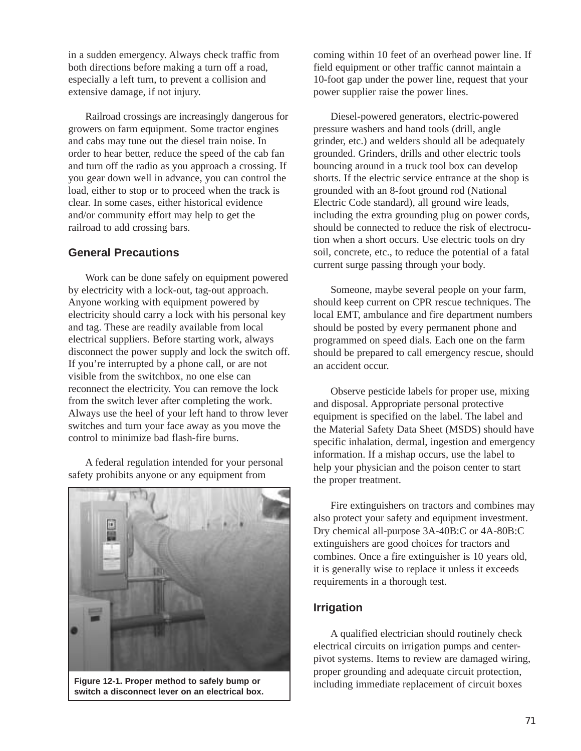in a sudden emergency. Always check traffic from both directions before making a turn off a road, especially a left turn, to prevent a collision and extensive damage, if not injury.

Railroad crossings are increasingly dangerous for growers on farm equipment. Some tractor engines and cabs may tune out the diesel train noise. In order to hear better, reduce the speed of the cab fan and turn off the radio as you approach a crossing. If you gear down well in advance, you can control the load, either to stop or to proceed when the track is clear. In some cases, either historical evidence and/or community effort may help to get the railroad to add crossing bars.

## **General Precautions**

Work can be done safely on equipment powered by electricity with a lock-out, tag-out approach. Anyone working with equipment powered by electricity should carry a lock with his personal key and tag. These are readily available from local electrical suppliers. Before starting work, always disconnect the power supply and lock the switch off. If you're interrupted by a phone call, or are not visible from the switchbox, no one else can reconnect the electricity. You can remove the lock from the switch lever after completing the work. Always use the heel of your left hand to throw lever switches and turn your face away as you move the control to minimize bad flash-fire burns.

A federal regulation intended for your personal safety prohibits anyone or any equipment from



**Figure 12-1. Proper method to safely bump or switch a disconnect lever on an electrical box.** 

coming within 10 feet of an overhead power line. If field equipment or other traffic cannot maintain a 10-foot gap under the power line, request that your power supplier raise the power lines.

Diesel-powered generators, electric-powered pressure washers and hand tools (drill, angle grinder, etc.) and welders should all be adequately grounded. Grinders, drills and other electric tools bouncing around in a truck tool box can develop shorts. If the electric service entrance at the shop is grounded with an 8-foot ground rod (National Electric Code standard), all ground wire leads, including the extra grounding plug on power cords, should be connected to reduce the risk of electrocution when a short occurs. Use electric tools on dry soil, concrete, etc., to reduce the potential of a fatal current surge passing through your body.

Someone, maybe several people on your farm, should keep current on CPR rescue techniques. The local EMT, ambulance and fire department numbers should be posted by every permanent phone and programmed on speed dials. Each one on the farm should be prepared to call emergency rescue, should an accident occur.

Observe pesticide labels for proper use, mixing and disposal. Appropriate personal protective equipment is specified on the label. The label and the Material Safety Data Sheet (MSDS) should have specific inhalation, dermal, ingestion and emergency information. If a mishap occurs, use the label to help your physician and the poison center to start the proper treatment.

Fire extinguishers on tractors and combines may also protect your safety and equipment investment. Dry chemical all-purpose 3A-40B:C or 4A-80B:C extinguishers are good choices for tractors and combines. Once a fire extinguisher is 10 years old, it is generally wise to replace it unless it exceeds requirements in a thorough test.

## **Irrigation**

A qualified electrician should routinely check electrical circuits on irrigation pumps and centerpivot systems. Items to review are damaged wiring, proper grounding and adequate circuit protection, including immediate replacement of circuit boxes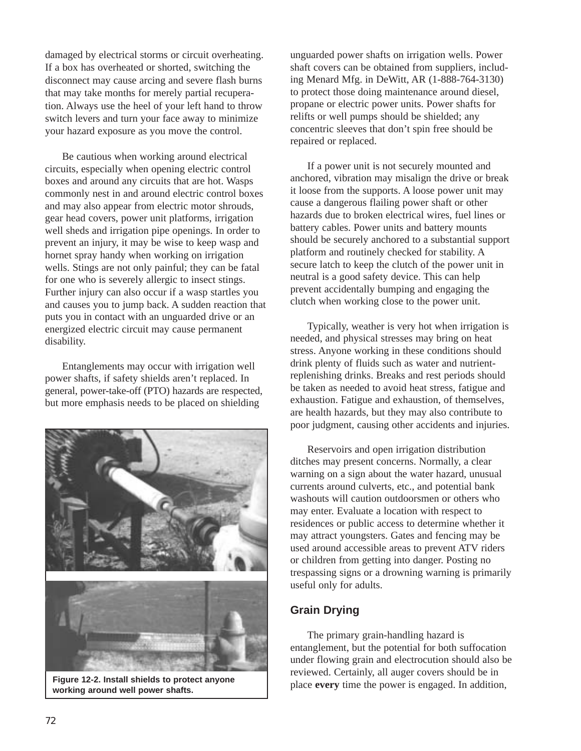damaged by electrical storms or circuit overheating. If a box has overheated or shorted, switching the disconnect may cause arcing and severe flash burns that may take months for merely partial recuperation. Always use the heel of your left hand to throw switch levers and turn your face away to minimize your hazard exposure as you move the control.

Be cautious when working around electrical circuits, especially when opening electric control boxes and around any circuits that are hot. Wasps commonly nest in and around electric control boxes and may also appear from electric motor shrouds, gear head covers, power unit platforms, irrigation well sheds and irrigation pipe openings. In order to prevent an injury, it may be wise to keep wasp and hornet spray handy when working on irrigation wells. Stings are not only painful; they can be fatal for one who is severely allergic to insect stings. Further injury can also occur if a wasp startles you and causes you to jump back. A sudden reaction that puts you in contact with an unguarded drive or an energized electric circuit may cause permanent disability.

Entanglements may occur with irrigation well power shafts, if safety shields aren't replaced. In general, power-take-off (PTO) hazards are respected, but more emphasis needs to be placed on shielding



**Figure 12-2. Install shields to protect anyone working around well power shafts.** 

unguarded power shafts on irrigation wells. Power shaft covers can be obtained from suppliers, including Menard Mfg. in DeWitt, AR (1-888-764-3130) to protect those doing maintenance around diesel, propane or electric power units. Power shafts for relifts or well pumps should be shielded; any concentric sleeves that don't spin free should be repaired or replaced.

If a power unit is not securely mounted and anchored, vibration may misalign the drive or break it loose from the supports. A loose power unit may cause a dangerous flailing power shaft or other hazards due to broken electrical wires, fuel lines or battery cables. Power units and battery mounts should be securely anchored to a substantial support platform and routinely checked for stability. A secure latch to keep the clutch of the power unit in neutral is a good safety device. This can help prevent accidentally bumping and engaging the clutch when working close to the power unit.

Typically, weather is very hot when irrigation is needed, and physical stresses may bring on heat stress. Anyone working in these conditions should drink plenty of fluids such as water and nutrientreplenishing drinks. Breaks and rest periods should be taken as needed to avoid heat stress, fatigue and exhaustion. Fatigue and exhaustion, of themselves, are health hazards, but they may also contribute to poor judgment, causing other accidents and injuries.

Reservoirs and open irrigation distribution ditches may present concerns. Normally, a clear warning on a sign about the water hazard, unusual currents around culverts, etc., and potential bank washouts will caution outdoorsmen or others who may enter. Evaluate a location with respect to residences or public access to determine whether it may attract youngsters. Gates and fencing may be used around accessible areas to prevent ATV riders or children from getting into danger. Posting no trespassing signs or a drowning warning is primarily useful only for adults.

## **Grain Drying**

The primary grain-handling hazard is entanglement, but the potential for both suffocation under flowing grain and electrocution should also be reviewed. Certainly, all auger covers should be in place **every** time the power is engaged. In addition,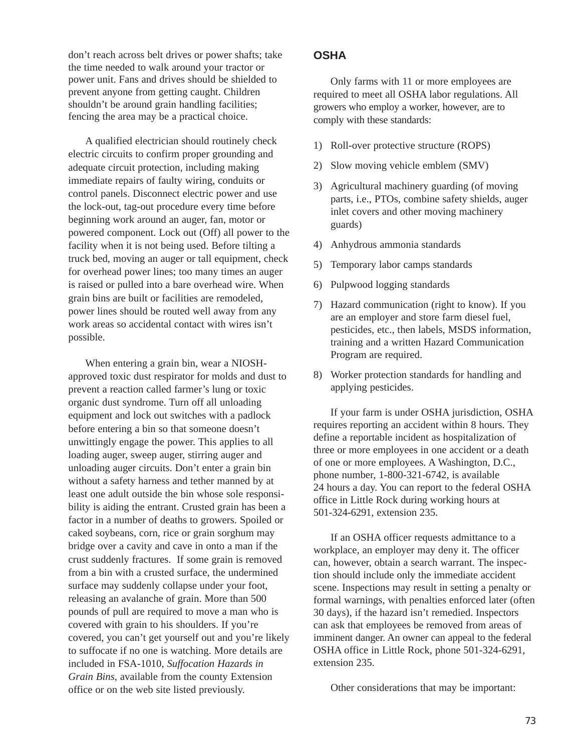don't reach across belt drives or power shafts; take the time needed to walk around your tractor or power unit. Fans and drives should be shielded to prevent anyone from getting caught. Children shouldn't be around grain handling facilities; fencing the area may be a practical choice.

A qualified electrician should routinely check electric circuits to confirm proper grounding and adequate circuit protection, including making immediate repairs of faulty wiring, conduits or control panels. Disconnect electric power and use the lock-out, tag-out procedure every time before beginning work around an auger, fan, motor or powered component. Lock out (Off) all power to the facility when it is not being used. Before tilting a truck bed, moving an auger or tall equipment, check for overhead power lines; too many times an auger is raised or pulled into a bare overhead wire. When grain bins are built or facilities are remodeled, power lines should be routed well away from any work areas so accidental contact with wires isn't possible.

When entering a grain bin, wear a NIOSHapproved toxic dust respirator for molds and dust to prevent a reaction called farmer's lung or toxic organic dust syndrome. Turn off all unloading equipment and lock out switches with a padlock before entering a bin so that someone doesn't unwittingly engage the power. This applies to all loading auger, sweep auger, stirring auger and unloading auger circuits. Don't enter a grain bin without a safety harness and tether manned by at least one adult outside the bin whose sole responsibility is aiding the entrant. Crusted grain has been a factor in a number of deaths to growers. Spoiled or caked soybeans, corn, rice or grain sorghum may bridge over a cavity and cave in onto a man if the crust suddenly fractures. If some grain is removed from a bin with a crusted surface, the undermined surface may suddenly collapse under your foot, releasing an avalanche of grain. More than 500 pounds of pull are required to move a man who is covered with grain to his shoulders. If you're covered, you can't get yourself out and you're likely to suffocate if no one is watching. More details are included in FSA-1010, *Suffocation Hazards in Grain Bins*, available from the county Extension office or on the web site listed previously.

#### **OSHA**

Only farms with 11 or more employees are required to meet all OSHA labor regulations. All growers who employ a worker, however, are to comply with these standards:

- 1) Roll-over protective structure (ROPS)
- 2) Slow moving vehicle emblem (SMV)
- 3) Agricultural machinery guarding (of moving parts, i.e., PTOs, combine safety shields, auger inlet covers and other moving machinery guards)
- 4) Anhydrous ammonia standards
- 5) Temporary labor camps standards
- 6) Pulpwood logging standards
- 7) Hazard communication (right to know). If you are an employer and store farm diesel fuel, pesticides, etc., then labels, MSDS information, training and a written Hazard Communication Program are required.
- 8) Worker protection standards for handling and applying pesticides.

If your farm is under OSHA jurisdiction, OSHA requires reporting an accident within 8 hours. They define a reportable incident as hospitalization of three or more employees in one accident or a death of one or more employees. A Washington, D.C., phone number, 1-800-321-6742, is available 24 hours a day. You can report to the federal OSHA office in Little Rock during working hours at 501-324-6291, extension 235.

If an OSHA officer requests admittance to a workplace, an employer may deny it. The officer can, however, obtain a search warrant. The inspection should include only the immediate accident scene. Inspections may result in setting a penalty or formal warnings, with penalties enforced later (often 30 days), if the hazard isn't remedied. Inspectors can ask that employees be removed from areas of imminent danger. An owner can appeal to the federal OSHA office in Little Rock, phone 501-324-6291, extension 235.

Other considerations that may be important: